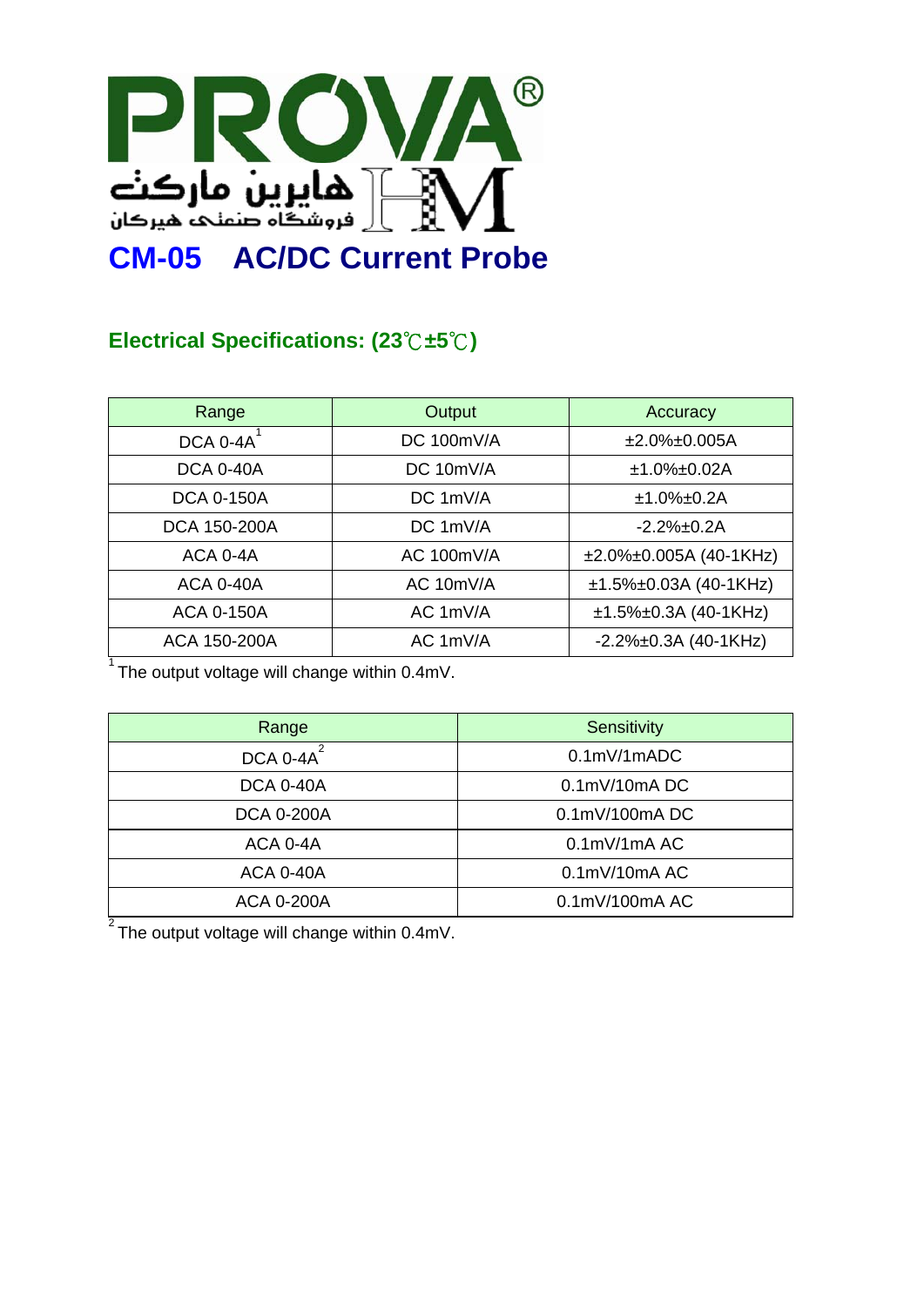

## **Electrical Specifications: (23**℃**±5**℃**)**

| Range             | Output     | Accuracy                        |
|-------------------|------------|---------------------------------|
| DCA 0-4A          | DC 100mV/A | $±2.0\%±0.005A$                 |
| <b>DCA 0-40A</b>  | DC 10mV/A  | $±1.0\%±0.02A$                  |
| <b>DCA 0-150A</b> | DC 1mV/A   | $±1.0\%±0.2A$                   |
| DCA 150-200A      | DC 1mV/A   | $-2.2\% \pm 0.2A$               |
| ACA 0-4A          | AC 100mV/A | $\pm 2.0\% \pm 0.005A(40-1KHz)$ |
| <b>ACA 0-40A</b>  | AC 10mV/A  | ±1.5%±0.03A (40-1KHz)           |
| <b>ACA 0-150A</b> | AC 1mV/A   | $±1.5\%±0.3A(40-1KHz)$          |
| ACA 150-200A      | AC 1mV/A   | $-2.2\% \pm 0.3A$ (40-1KHz)     |

 $1$  The output voltage will change within 0.4mV.

| Range             | Sensitivity             |
|-------------------|-------------------------|
| DCA 0-4A          | $0.1$ m $V/1$ m $ADC$   |
| <b>DCA 0-40A</b>  | $0.1$ m $V/10$ m $A$ DC |
| <b>DCA 0-200A</b> | 0.1mV/100mADC           |
| ACA 0-4A          | $0.1$ m $V/1$ m $A$ AC  |
| <b>ACA 0-40A</b>  | $0.1$ m $V/10$ m $A$ AC |
| ACA 0-200A        | 0.1mV/100mA AC          |

 $2^{2}$ The output voltage will change within 0.4mV.